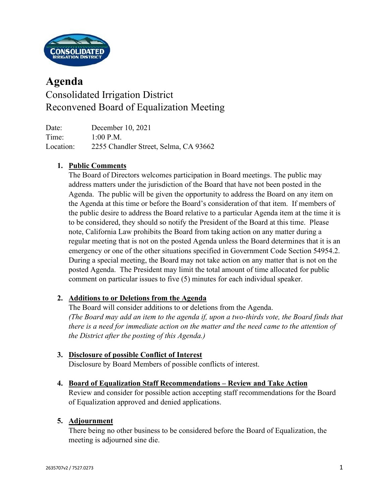

# **Agenda** Consolidated Irrigation District Reconvened Board of Equalization Meeting

Date: December 10, 2021 Time: 1:00 P.M. Location: 2255 Chandler Street, Selma, CA 93662

# **1. Public Comments**

The Board of Directors welcomes participation in Board meetings. The public may address matters under the jurisdiction of the Board that have not been posted in the Agenda. The public will be given the opportunity to address the Board on any item on the Agenda at this time or before the Board's consideration of that item. If members of the public desire to address the Board relative to a particular Agenda item at the time it is to be considered, they should so notify the President of the Board at this time. Please note, California Law prohibits the Board from taking action on any matter during a regular meeting that is not on the posted Agenda unless the Board determines that it is an emergency or one of the other situations specified in Government Code Section 54954.2. During a special meeting, the Board may not take action on any matter that is not on the posted Agenda. The President may limit the total amount of time allocated for public comment on particular issues to five (5) minutes for each individual speaker.

## **2. Additions to or Deletions from the Agenda**

The Board will consider additions to or deletions from the Agenda. *(The Board may add an item to the agenda if, upon a two-thirds vote, the Board finds that there is a need for immediate action on the matter and the need came to the attention of the District after the posting of this Agenda.)*

### **3. Disclosure of possible Conflict of Interest**

Disclosure by Board Members of possible conflicts of interest.

### **4. Board of Equalization Staff Recommendations – Review and Take Action**

Review and consider for possible action accepting staff recommendations for the Board of Equalization approved and denied applications.

### **5. Adjournment**

There being no other business to be considered before the Board of Equalization, the meeting is adjourned sine die.